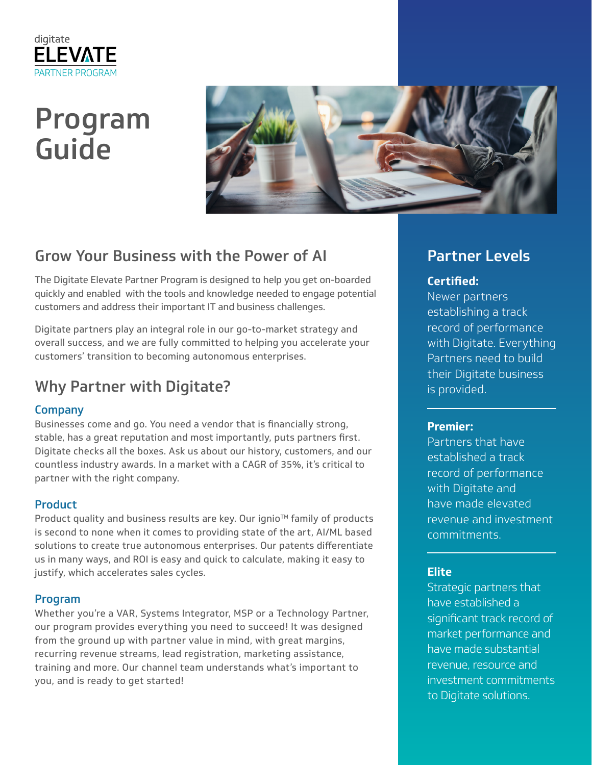

# Program Guide



# Grow Your Business with the Power of AI

The Digitate Elevate Partner Program is designed to help you get on-boarded quickly and enabled with the tools and knowledge needed to engage potential customers and address their important IT and business challenges.

Digitate partners play an integral role in our go-to-market strategy and overall success, and we are fully committed to helping you accelerate your customers' transition to becoming autonomous enterprises.

# Why Partner with Digitate?

## Company

Businesses come and go. You need a vendor that is financially strong, stable, has a great reputation and most importantly, puts partners first. Digitate checks all the boxes. Ask us about our history, customers, and our countless industry awards. In a market with a CAGR of 35%, it's critical to partner with the right company.

## Product

Product quality and business results are key. Our ignio™ family of products is second to none when it comes to providing state of the art, AI/ML based solutions to create true autonomous enterprises. Our patents differentiate us in many ways, and ROI is easy and quick to calculate, making it easy to justify, which accelerates sales cycles.

### Program

Whether you're a VAR, Systems Integrator, MSP or a Technology Partner, our program provides everything you need to succeed! It was designed from the ground up with partner value in mind, with great margins, recurring revenue streams, lead registration, marketing assistance, training and more. Our channel team understands what's important to you, and is ready to get started!

## Partner Levels

## **Certified:**

Newer partners establishing a track record of performance with Digitate. Everything Partners need to build their Digitate business is provided.

### **Premier:**

Partners that have established a track record of performance with Digitate and have made elevated revenue and investment commitments.

## **Elite**

Strategic partners that have established a significant track record of market performance and have made substantial revenue, resource and investment commitments to Digitate solutions.